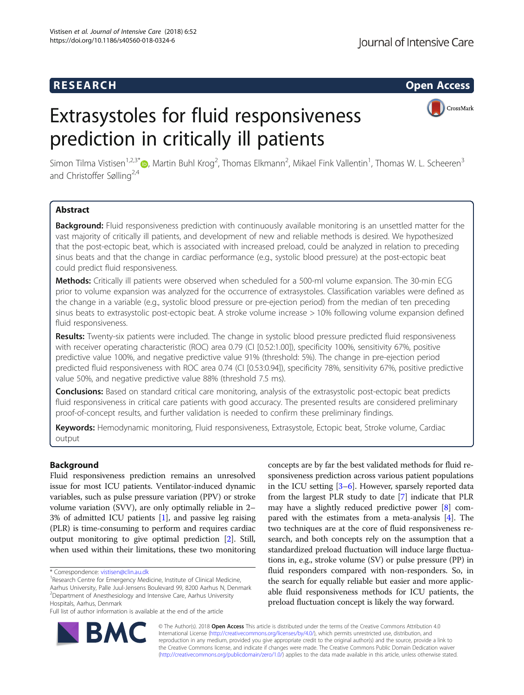# **RESEARCH RESEARCH CONSUMING ACCESS**

# Extrasystoles for fluid responsiveness prediction in critically ill patients



Simon Tilma Vistisen<sup>1,2,3\*</sup>®, Martin Buhl Krog<sup>2</sup>, Thomas Elkmann<sup>2</sup>, Mikael Fink Vallentin<sup>1</sup>, Thomas W. L. Scheeren<sup>3</sup> and Christoffer Sølling<sup>2,4</sup>

# Abstract

Background: Fluid responsiveness prediction with continuously available monitoring is an unsettled matter for the vast majority of critically ill patients, and development of new and reliable methods is desired. We hypothesized that the post-ectopic beat, which is associated with increased preload, could be analyzed in relation to preceding sinus beats and that the change in cardiac performance (e.g., systolic blood pressure) at the post-ectopic beat could predict fluid responsiveness.

Methods: Critically ill patients were observed when scheduled for a 500-ml volume expansion. The 30-min ECG prior to volume expansion was analyzed for the occurrence of extrasystoles. Classification variables were defined as the change in a variable (e.g., systolic blood pressure or pre-ejection period) from the median of ten preceding sinus beats to extrasystolic post-ectopic beat. A stroke volume increase > 10% following volume expansion defined fluid responsiveness.

Results: Twenty-six patients were included. The change in systolic blood pressure predicted fluid responsiveness with receiver operating characteristic (ROC) area 0.79 (CI [0.52:1.00]), specificity 100%, sensitivity 67%, positive predictive value 100%, and negative predictive value 91% (threshold: 5%). The change in pre-ejection period predicted fluid responsiveness with ROC area 0.74 (CI [0.53:0.94]), specificity 78%, sensitivity 67%, positive predictive value 50%, and negative predictive value 88% (threshold 7.5 ms).

**Conclusions:** Based on standard critical care monitoring, analysis of the extrasystolic post-ectopic beat predicts fluid responsiveness in critical care patients with good accuracy. The presented results are considered preliminary proof-of-concept results, and further validation is needed to confirm these preliminary findings.

Keywords: Hemodynamic monitoring, Fluid responsiveness, Extrasystole, Ectopic beat, Stroke volume, Cardiac output

# Background

Fluid responsiveness prediction remains an unresolved issue for most ICU patients. Ventilator-induced dynamic variables, such as pulse pressure variation (PPV) or stroke volume variation (SVV), are only optimally reliable in 2– 3% of admitted ICU patients [[1](#page-7-0)], and passive leg raising (PLR) is time-consuming to perform and requires cardiac output monitoring to give optimal prediction [[2\]](#page-7-0). Still, when used within their limitations, these two monitoring

<sup>1</sup>Research Centre for Emergency Medicine, Institute of Clinical Medicine, Aarhus University, Palle Juul-Jensens Boulevard 99, 8200 Aarhus N, Denmark <sup>2</sup> Department of Anesthesiology and Intensive Care, Aarhus University Hospitals, Aarhus, Denmark

Full list of author information is available at the end of the article

concepts are by far the best validated methods for fluid responsiveness prediction across various patient populations in the ICU setting [[3](#page-7-0)–[6](#page-7-0)]. However, sparsely reported data from the largest PLR study to date [\[7](#page-7-0)] indicate that PLR may have a slightly reduced predictive power [[8\]](#page-7-0) compared with the estimates from a meta-analysis [\[4\]](#page-7-0). The two techniques are at the core of fluid responsiveness research, and both concepts rely on the assumption that a standardized preload fluctuation will induce large fluctuations in, e.g., stroke volume (SV) or pulse pressure (PP) in fluid responders compared with non-responders. So, in the search for equally reliable but easier and more applicable fluid responsiveness methods for ICU patients, the preload fluctuation concept is likely the way forward.



© The Author(s). 2018 Open Access This article is distributed under the terms of the Creative Commons Attribution 4.0 International License [\(http://creativecommons.org/licenses/by/4.0/](http://creativecommons.org/licenses/by/4.0/)), which permits unrestricted use, distribution, and reproduction in any medium, provided you give appropriate credit to the original author(s) and the source, provide a link to the Creative Commons license, and indicate if changes were made. The Creative Commons Public Domain Dedication waiver [\(http://creativecommons.org/publicdomain/zero/1.0/](http://creativecommons.org/publicdomain/zero/1.0/)) applies to the data made available in this article, unless otherwise stated.

<sup>\*</sup> Correspondence: [vistisen@clin.au.dk](mailto:vistisen@clin.au.dk) <sup>1</sup>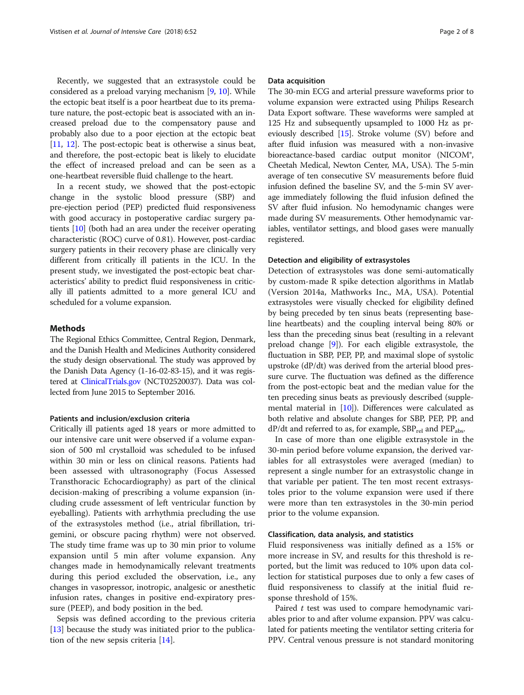Recently, we suggested that an extrasystole could be considered as a preload varying mechanism [\[9](#page-7-0), [10](#page-7-0)]. While the ectopic beat itself is a poor heartbeat due to its premature nature, the post-ectopic beat is associated with an increased preload due to the compensatory pause and probably also due to a poor ejection at the ectopic beat [[11](#page-7-0), [12\]](#page-7-0). The post-ectopic beat is otherwise a sinus beat, and therefore, the post-ectopic beat is likely to elucidate the effect of increased preload and can be seen as a one-heartbeat reversible fluid challenge to the heart.

In a recent study, we showed that the post-ectopic change in the systolic blood pressure (SBP) and pre-ejection period (PEP) predicted fluid responsiveness with good accuracy in postoperative cardiac surgery patients [\[10\]](#page-7-0) (both had an area under the receiver operating characteristic (ROC) curve of 0.81). However, post-cardiac surgery patients in their recovery phase are clinically very different from critically ill patients in the ICU. In the present study, we investigated the post-ectopic beat characteristics' ability to predict fluid responsiveness in critically ill patients admitted to a more general ICU and scheduled for a volume expansion.

# Methods

The Regional Ethics Committee, Central Region, Denmark, and the Danish Health and Medicines Authority considered the study design observational. The study was approved by the Danish Data Agency (1-16-02-83-15), and it was registered at [ClinicalTrials.gov](http://clinicaltrials.gov) (NCT02520037). Data was collected from June 2015 to September 2016.

# Patients and inclusion/exclusion criteria

Critically ill patients aged 18 years or more admitted to our intensive care unit were observed if a volume expansion of 500 ml crystalloid was scheduled to be infused within 30 min or less on clinical reasons. Patients had been assessed with ultrasonography (Focus Assessed Transthoracic Echocardiography) as part of the clinical decision-making of prescribing a volume expansion (including crude assessment of left ventricular function by eyeballing). Patients with arrhythmia precluding the use of the extrasystoles method (i.e., atrial fibrillation, trigemini, or obscure pacing rhythm) were not observed. The study time frame was up to 30 min prior to volume expansion until 5 min after volume expansion. Any changes made in hemodynamically relevant treatments during this period excluded the observation, i.e., any changes in vasopressor, inotropic, analgesic or anesthetic infusion rates, changes in positive end-expiratory pressure (PEEP), and body position in the bed.

Sepsis was defined according to the previous criteria [[13\]](#page-7-0) because the study was initiated prior to the publication of the new sepsis criteria [[14](#page-7-0)].

# Data acquisition

The 30-min ECG and arterial pressure waveforms prior to volume expansion were extracted using Philips Research Data Export software. These waveforms were sampled at 125 Hz and subsequently upsampled to 1000 Hz as previously described [\[15\]](#page-7-0). Stroke volume (SV) before and after fluid infusion was measured with a non-invasive bioreactance-based cardiac output monitor (NICOM®, Cheetah Medical, Newton Center, MA, USA). The 5-min average of ten consecutive SV measurements before fluid infusion defined the baseline SV, and the 5-min SV average immediately following the fluid infusion defined the SV after fluid infusion. No hemodynamic changes were made during SV measurements. Other hemodynamic variables, ventilator settings, and blood gases were manually registered.

# Detection and eligibility of extrasystoles

Detection of extrasystoles was done semi-automatically by custom-made R spike detection algorithms in Matlab (Version 2014a, Mathworks Inc., MA, USA). Potential extrasystoles were visually checked for eligibility defined by being preceded by ten sinus beats (representing baseline heartbeats) and the coupling interval being 80% or less than the preceding sinus beat (resulting in a relevant preload change [[9\]](#page-7-0)). For each eligible extrasystole, the fluctuation in SBP, PEP, PP, and maximal slope of systolic upstroke (dP/dt) was derived from the arterial blood pressure curve. The fluctuation was defined as the difference from the post-ectopic beat and the median value for the ten preceding sinus beats as previously described (supplemental material in [[10\]](#page-7-0)). Differences were calculated as both relative and absolute changes for SBP, PEP, PP, and  $dP/dt$  and referred to as, for example,  $SBP_{rel}$  and  $PEP_{abs}$ .

In case of more than one eligible extrasystole in the 30-min period before volume expansion, the derived variables for all extrasystoles were averaged (median) to represent a single number for an extrasystolic change in that variable per patient. The ten most recent extrasystoles prior to the volume expansion were used if there were more than ten extrasystoles in the 30-min period prior to the volume expansion.

#### Classification, data analysis, and statistics

Fluid responsiveness was initially defined as a 15% or more increase in SV, and results for this threshold is reported, but the limit was reduced to 10% upon data collection for statistical purposes due to only a few cases of fluid responsiveness to classify at the initial fluid response threshold of 15%.

Paired  $t$  test was used to compare hemodynamic variables prior to and after volume expansion. PPV was calculated for patients meeting the ventilator setting criteria for PPV. Central venous pressure is not standard monitoring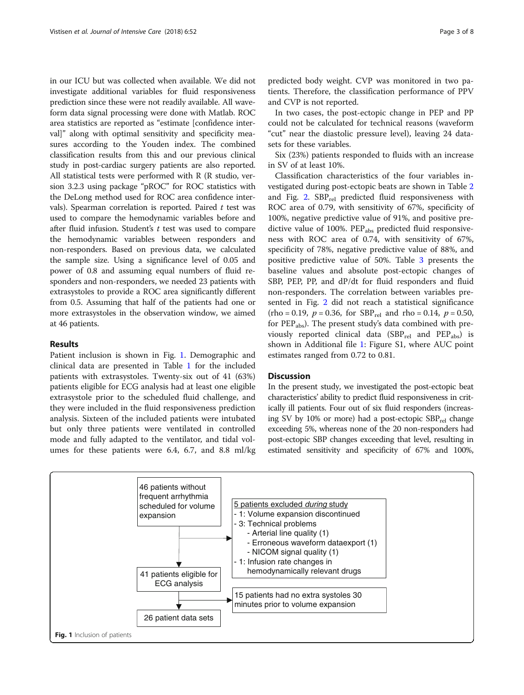in our ICU but was collected when available. We did not investigate additional variables for fluid responsiveness prediction since these were not readily available. All waveform data signal processing were done with Matlab. ROC area statistics are reported as "estimate [confidence interval]" along with optimal sensitivity and specificity measures according to the Youden index. The combined classification results from this and our previous clinical study in post-cardiac surgery patients are also reported. All statistical tests were performed with R (R studio, version 3.2.3 using package "pROC" for ROC statistics with the DeLong method used for ROC area confidence intervals). Spearman correlation is reported. Paired  $t$  test was used to compare the hemodynamic variables before and after fluid infusion. Student's  $t$  test was used to compare the hemodynamic variables between responders and non-responders. Based on previous data, we calculated the sample size. Using a significance level of 0.05 and power of 0.8 and assuming equal numbers of fluid responders and non-responders, we needed 23 patients with extrasystoles to provide a ROC area significantly different from 0.5. Assuming that half of the patients had one or more extrasystoles in the observation window, we aimed at 46 patients.

# Results

Patient inclusion is shown in Fig. 1. Demographic and clinical data are presented in Table [1](#page-3-0) for the included patients with extrasystoles. Twenty-six out of 41 (63%) patients eligible for ECG analysis had at least one eligible extrasystole prior to the scheduled fluid challenge, and they were included in the fluid responsiveness prediction analysis. Sixteen of the included patients were intubated but only three patients were ventilated in controlled mode and fully adapted to the ventilator, and tidal volumes for these patients were 6.4, 6.7, and 8.8 ml/kg

predicted body weight. CVP was monitored in two patients. Therefore, the classification performance of PPV and CVP is not reported.

In two cases, the post-ectopic change in PEP and PP could not be calculated for technical reasons (waveform "cut" near the diastolic pressure level), leaving 24 datasets for these variables.

Six (23%) patients responded to fluids with an increase in SV of at least 10%.

Classification characteristics of the four variables investigated during post-ectopic beats are shown in Table [2](#page-3-0) and Fig. [2](#page-4-0).  $SBP_{rel}$  predicted fluid responsiveness with ROC area of 0.79, with sensitivity of 67%, specificity of 100%, negative predictive value of 91%, and positive predictive value of 100%.  $PEP_{abs}$  predicted fluid responsiveness with ROC area of 0.74, with sensitivity of 67%, specificity of 78%, negative predictive value of 88%, and positive predictive value of 50%. Table [3](#page-4-0) presents the baseline values and absolute post-ectopic changes of SBP, PEP, PP, and dP/dt for fluid responders and fluid non-responders. The correlation between variables presented in Fig. [2](#page-4-0) did not reach a statistical significance  $(rho = 0.19, p = 0.36, for SBP<sub>rel</sub> and rho = 0.14, p = 0.50,$ for  $PEP_{\text{abs}}$ ). The present study's data combined with previously reported clinical data (SBP<sub>rel</sub> and  $PEP_{abs}$ ) is shown in Additional file [1](#page-6-0): Figure S1, where AUC point estimates ranged from 0.72 to 0.81.

# **Discussion**

In the present study, we investigated the post-ectopic beat characteristics' ability to predict fluid responsiveness in critically ill patients. Four out of six fluid responders (increasing SV by 10% or more) had a post-ectopic  $SBP_{rel}$  change exceeding 5%, whereas none of the 20 non-responders had post-ectopic SBP changes exceeding that level, resulting in estimated sensitivity and specificity of 67% and 100%,

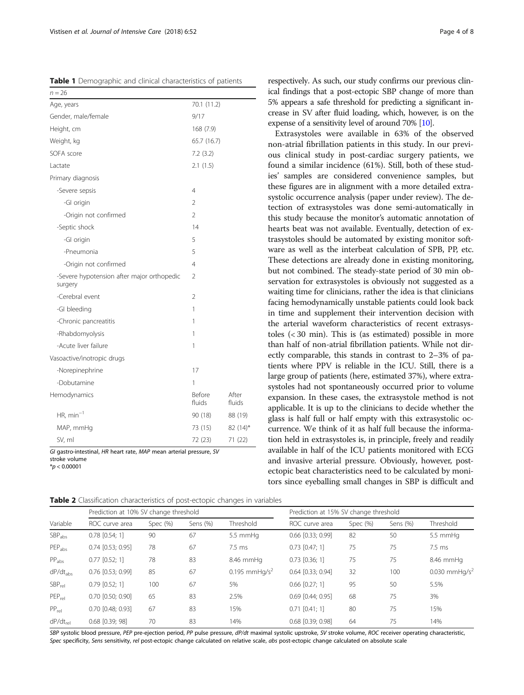<span id="page-3-0"></span>Table 1 Demographic and clinical characteristics of patients

| $n = 26$                                              |                  |                 |  |  |
|-------------------------------------------------------|------------------|-----------------|--|--|
| Age, years                                            | 70.1 (11.2)      |                 |  |  |
| Gender, male/female                                   | 9/17             |                 |  |  |
| Height, cm                                            | 168 (7.9)        |                 |  |  |
| Weight, kg                                            | 65.7 (16.7)      |                 |  |  |
| SOFA score                                            | 7.2(3.2)         |                 |  |  |
| Lactate                                               | 2.1(1.5)         |                 |  |  |
| Primary diagnosis                                     |                  |                 |  |  |
| -Severe sepsis                                        | $\overline{4}$   |                 |  |  |
| -GI origin                                            | 2                |                 |  |  |
| -Origin not confirmed                                 | $\mathfrak{D}$   |                 |  |  |
| -Septic shock                                         | 14               |                 |  |  |
| -GI origin                                            | 5                |                 |  |  |
| -Pneumonia                                            | 5                |                 |  |  |
| -Origin not confirmed                                 | 4                |                 |  |  |
| -Severe hypotension after major orthopedic<br>surgery | 2                |                 |  |  |
| -Cerebral event                                       | $\mathfrak{D}$   |                 |  |  |
| -GI bleeding                                          | 1                |                 |  |  |
| -Chronic pancreatitis                                 | 1                |                 |  |  |
| -Rhabdomyolysis                                       | 1                |                 |  |  |
| -Acute liver failure                                  | 1                |                 |  |  |
| Vasoactive/inotropic drugs                            |                  |                 |  |  |
| -Norepinephrine                                       | 17               |                 |  |  |
| -Dobutamine                                           | 1                |                 |  |  |
| Hemodynamics                                          | Before<br>fluids | After<br>fluids |  |  |
| $HR, min^{-1}$                                        | 90 (18)          | 88 (19)         |  |  |
| MAP, mmHg                                             | 73 (15)          | $82(14)^*$      |  |  |
| SV, ml                                                | 72 (23)          | 71 (22)         |  |  |

GI gastro-intestinal, HR heart rate, MAP mean arterial pressure, SV stroke volume

|  | $*$ <i>p</i> < 0.00001 |
|--|------------------------|
|--|------------------------|

| <b>Table 2</b> Classification characteristics of post-ectopic changes in variables |  |
|------------------------------------------------------------------------------------|--|
|------------------------------------------------------------------------------------|--|

respectively. As such, our study confirms our previous clinical findings that a post-ectopic SBP change of more than 5% appears a safe threshold for predicting a significant increase in SV after fluid loading, which, however, is on the expense of a sensitivity level of around 70% [\[10\]](#page-7-0).

Extrasystoles were available in 63% of the observed non-atrial fibrillation patients in this study. In our previous clinical study in post-cardiac surgery patients, we found a similar incidence (61%). Still, both of these studies' samples are considered convenience samples, but these figures are in alignment with a more detailed extrasystolic occurrence analysis (paper under review). The detection of extrasystoles was done semi-automatically in this study because the monitor's automatic annotation of hearts beat was not available. Eventually, detection of extrasystoles should be automated by existing monitor software as well as the interbeat calculation of SPB, PP, etc. These detections are already done in existing monitoring, but not combined. The steady-state period of 30 min observation for extrasystoles is obviously not suggested as a waiting time for clinicians, rather the idea is that clinicians facing hemodynamically unstable patients could look back in time and supplement their intervention decision with the arterial waveform characteristics of recent extrasystoles (< 30 min). This is (as estimated) possible in more than half of non-atrial fibrillation patients. While not directly comparable, this stands in contrast to 2–3% of patients where PPV is reliable in the ICU. Still, there is a large group of patients (here, estimated 37%), where extrasystoles had not spontaneously occurred prior to volume expansion. In these cases, the extrasystole method is not applicable. It is up to the clinicians to decide whether the glass is half full or half empty with this extrasystolic occurrence. We think of it as half full because the information held in extrasystoles is, in principle, freely and readily available in half of the ICU patients monitored with ECG and invasive arterial pressure. Obviously, however, postectopic beat characteristics need to be calculated by monitors since eyeballing small changes in SBP is difficult and

| Variable             | Prediction at 10% SV change threshold |            |          | Prediction at 15% SV change threshold |                       |             |          |                           |
|----------------------|---------------------------------------|------------|----------|---------------------------------------|-----------------------|-------------|----------|---------------------------|
|                      | ROC curve area                        | Spec $(%)$ | Sens (%) | Threshold                             | ROC curve area        | Spec $(\%)$ | Sens (%) | Threshold                 |
| SBP <sub>abs</sub>   | $0.78$ $[0.54; 1]$                    | 90         | 67       | 5.5 mmHq                              | $0.66$ [0.33; 0.99]   | 82          | 50       | 5.5 mmHq                  |
| $PEP_{\rm abs}$      | $0.74$ $[0.53; 0.95]$                 | 78         | 67       | $7.5 \text{ ms}$                      | $0.73$ $[0.47; 1]$    | 75          | 75       | $7.5$ ms                  |
| $PP_{\rm abs}$       | $0.77$ [0.52; 1]                      | 78         | 83       | 8.46 mmHg                             | $0.73$ $[0.36; 1]$    | 75          | 75       | 8.46 mmHg                 |
| $dP/dt_{\text{abs}}$ | $0.76$ $[0.53; 0.99]$                 | 85         | 67       | 0.195 mmHg/s <sup>2</sup>             | $0.64$ $[0.33; 0.94]$ | 32          | 100      | 0.030 mmHg/s <sup>2</sup> |
| $SBP_{rel}$          | $0.79$ $[0.52; 1]$                    | 100        | 67       | 5%                                    | $0.66$ $[0.27; 1]$    | 95          | 50       | 5.5%                      |
| $PEP_{rel}$          | $0.70$ $[0.50; 0.90]$                 | 65         | 83       | 2.5%                                  | $0.69$ $[0.44; 0.95]$ | 68          | 75       | 3%                        |
| $PP_{rel}$           | $0.70$ $[0.48; 0.93]$                 | 67         | 83       | 15%                                   | $0.71$ $[0.41; 1]$    | 80          | 75       | 15%                       |
| $dP/dt_{rel}$        | 0.68 [0.39; 98]                       | 70         | 83       | 14%                                   | 0.68 [0.39; 0.98]     | 64          | 75       | 14%                       |

SBP systolic blood pressure, PEP pre-ejection period, PP pulse pressure, dP/dt maximal systolic upstroke, SV stroke volume, ROC receiver operating characteristic Spec specificity, Sens sensitivity, rel post-ectopic change calculated on relative scale, abs post-ectopic change calculated on absolute scale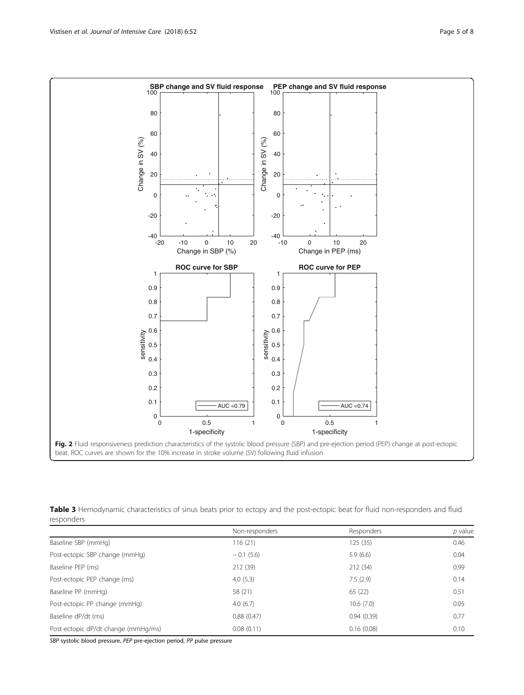<span id="page-4-0"></span>

Table 3 Hemodynamic characteristics of sinus beats prior to ectopy and the post-ectopic beat for fluid non-responders and fluid responders

|                                     | Non-responders | Responders | $p$ value |
|-------------------------------------|----------------|------------|-----------|
| Baseline SBP (mmHg)                 | 116(21)        | 125 (35)   | 0.46      |
| Post-ectopic SBP change (mmHg)      | $-0.1(5.6)$    | 5.9(6.6)   | 0.04      |
| Baseline PEP (ms)                   | 212 (39)       | 212 (34)   | 0.99      |
| Post-ectopic PEP change (ms)        | 4.0(5.3)       | 7.5(2.9)   | 0.14      |
| Baseline PP (mmHg)                  | 58 (21)        | 65(22)     | 0.51      |
| Post-ectopic PP change (mmHg)       | 4.0(6.7)       | 10.6(7.0)  | 0.05      |
| Baseline dP/dt (ms)                 | 0.88(0.47)     | 0.94(0.39) | 0.77      |
| Post-ectopic dP/dt change (mmHg/ms) | 0.08(0.11)     | 0.16(0.08) | 0.10      |

SBP systolic blood pressure, PEP pre-ejection period, PP pulse pressure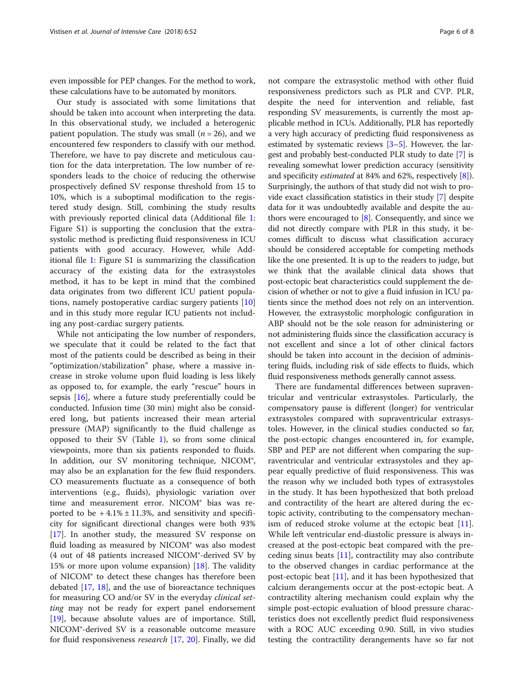even impossible for PEP changes. For the method to work, these calculations have to be automated by monitors.

Our study is associated with some limitations that should be taken into account when interpreting the data. In this observational study, we included a heterogenic patient population. The study was small  $(n = 26)$ , and we encountered few responders to classify with our method. Therefore, we have to pay discrete and meticulous caution for the data interpretation. The low number of responders leads to the choice of reducing the otherwise prospectively defined SV response threshold from 15 to 10%, which is a suboptimal modification to the registered study design. Still, combining the study results with previously reported clinical data (Additional file [1](#page-6-0): Figure S1) is supporting the conclusion that the extrasystolic method is predicting fluid responsiveness in ICU patients with good accuracy. However, while Additional file [1:](#page-6-0) Figure S1 is summarizing the classification accuracy of the existing data for the extrasystoles method, it has to be kept in mind that the combined data originates from two different ICU patient populations, namely postoperative cardiac surgery patients [[10](#page-7-0)] and in this study more regular ICU patients not including any post-cardiac surgery patients.

While not anticipating the low number of responders, we speculate that it could be related to the fact that most of the patients could be described as being in their "optimization/stabilization" phase, where a massive increase in stroke volume upon fluid loading is less likely as opposed to, for example, the early "rescue" hours in sepsis [\[16](#page-7-0)], where a future study preferentially could be conducted. Infusion time (30 min) might also be considered long, but patients increased their mean arterial pressure (MAP) significantly to the fluid challenge as opposed to their SV (Table [1\)](#page-3-0), so from some clinical viewpoints, more than six patients responded to fluids. In addition, our SV monitoring technique, NICOM®, may also be an explanation for the few fluid responders. CO measurements fluctuate as a consequence of both interventions (e.g., fluids), physiologic variation over time and measurement error. NICOM® bias was reported to be  $+4.1\% \pm 11.3\%$ , and sensitivity and specificity for significant directional changes were both 93% [[17\]](#page-7-0). In another study, the measured SV response on fluid loading as measured by NICOM® was also modest (4 out of 48 patients increased NICOM®-derived SV by 15% or more upon volume expansion) [[18\]](#page-7-0). The validity of NICOM® to detect these changes has therefore been debated [\[17,](#page-7-0) [18](#page-7-0)], and the use of bioreactance techniques for measuring CO and/or SV in the everyday clinical setting may not be ready for expert panel endorsement [[19\]](#page-7-0), because absolute values are of importance. Still, NICOM®-derived SV is a reasonable outcome measure for fluid responsiveness research [\[17,](#page-7-0) [20](#page-7-0)]. Finally, we did not compare the extrasystolic method with other fluid responsiveness predictors such as PLR and CVP. PLR, despite the need for intervention and reliable, fast responding SV measurements, is currently the most applicable method in ICUs. Additionally, PLR has reportedly a very high accuracy of predicting fluid responsiveness as estimated by systematic reviews  $[3-5]$  $[3-5]$  $[3-5]$ . However, the largest and probably best-conducted PLR study to date [\[7](#page-7-0)] is revealing somewhat lower prediction accuracy (sensitivity and specificity estimated at 84% and 62%, respectively [\[8](#page-7-0)]). Surprisingly, the authors of that study did not wish to provide exact classification statistics in their study [\[7](#page-7-0)] despite data for it was undoubtedly available and despite the authors were encouraged to  $[8]$  $[8]$ . Consequently, and since we did not directly compare with PLR in this study, it becomes difficult to discuss what classification accuracy should be considered acceptable for competing methods like the one presented. It is up to the readers to judge, but we think that the available clinical data shows that post-ectopic beat characteristics could supplement the decision of whether or not to give a fluid infusion in ICU patients since the method does not rely on an intervention. However, the extrasystolic morphologic configuration in ABP should not be the sole reason for administering or not administering fluids since the classification accuracy is not excellent and since a lot of other clinical factors should be taken into account in the decision of administering fluids, including risk of side effects to fluids, which fluid responsiveness methods generally cannot assess.

There are fundamental differences between supraventricular and ventricular extrasystoles. Particularly, the compensatory pause is different (longer) for ventricular extrasystoles compared with supraventricular extrasystoles. However, in the clinical studies conducted so far, the post-ectopic changes encountered in, for example, SBP and PEP are not different when comparing the supraventricular and ventricular extrasystoles and they appear equally predictive of fluid responsiveness. This was the reason why we included both types of extrasystoles in the study. It has been hypothesized that both preload and contractility of the heart are altered during the ectopic activity, contributing to the compensatory mechanism of reduced stroke volume at the ectopic beat [\[11](#page-7-0)]. While left ventricular end-diastolic pressure is always increased at the post-ectopic beat compared with the preceding sinus beats [\[11](#page-7-0)], contractility may also contribute to the observed changes in cardiac performance at the post-ectopic beat [\[11](#page-7-0)], and it has been hypothesized that calcium derangements occur at the post-ectopic beat. A contractility altering mechanism could explain why the simple post-ectopic evaluation of blood pressure characteristics does not excellently predict fluid responsiveness with a ROC AUC exceeding 0.90. Still, in vivo studies testing the contractility derangements have so far not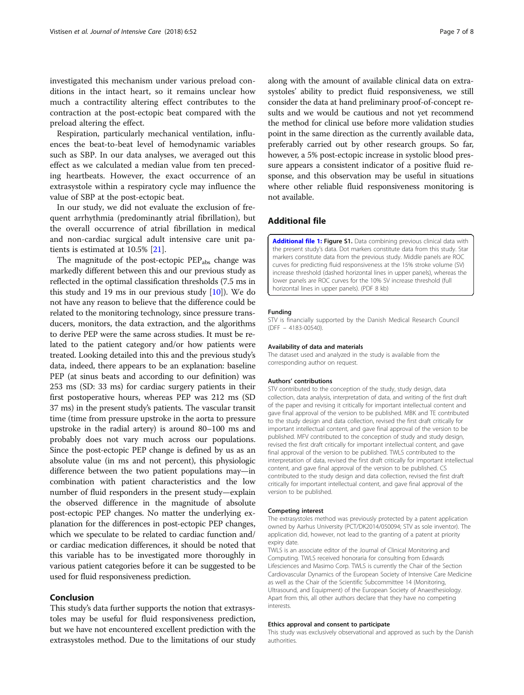<span id="page-6-0"></span>investigated this mechanism under various preload conditions in the intact heart, so it remains unclear how much a contractility altering effect contributes to the contraction at the post-ectopic beat compared with the preload altering the effect.

Respiration, particularly mechanical ventilation, influences the beat-to-beat level of hemodynamic variables such as SBP. In our data analyses, we averaged out this effect as we calculated a median value from ten preceding heartbeats. However, the exact occurrence of an extrasystole within a respiratory cycle may influence the value of SBP at the post-ectopic beat.

In our study, we did not evaluate the exclusion of frequent arrhythmia (predominantly atrial fibrillation), but the overall occurrence of atrial fibrillation in medical and non-cardiac surgical adult intensive care unit patients is estimated at 10.5% [\[21\]](#page-7-0).

The magnitude of the post-ectopic PEP<sub>abs</sub> change was markedly different between this and our previous study as reflected in the optimal classification thresholds (7.5 ms in this study and 19 ms in our previous study  $[10]$ ). We do not have any reason to believe that the difference could be related to the monitoring technology, since pressure transducers, monitors, the data extraction, and the algorithms to derive PEP were the same across studies. It must be related to the patient category and/or how patients were treated. Looking detailed into this and the previous study's data, indeed, there appears to be an explanation: baseline PEP (at sinus beats and according to our definition) was 253 ms (SD: 33 ms) for cardiac surgery patients in their first postoperative hours, whereas PEP was 212 ms (SD 37 ms) in the present study's patients. The vascular transit time (time from pressure upstroke in the aorta to pressure upstroke in the radial artery) is around 80–100 ms and probably does not vary much across our populations. Since the post-ectopic PEP change is defined by us as an absolute value (in ms and not percent), this physiologic difference between the two patient populations may—in combination with patient characteristics and the low number of fluid responders in the present study—explain the observed difference in the magnitude of absolute post-ectopic PEP changes. No matter the underlying explanation for the differences in post-ectopic PEP changes, which we speculate to be related to cardiac function and/ or cardiac medication differences, it should be noted that this variable has to be investigated more thoroughly in various patient categories before it can be suggested to be used for fluid responsiveness prediction.

# Conclusion

This study's data further supports the notion that extrasystoles may be useful for fluid responsiveness prediction, but we have not encountered excellent prediction with the extrasystoles method. Due to the limitations of our study along with the amount of available clinical data on extrasystoles' ability to predict fluid responsiveness, we still consider the data at hand preliminary proof-of-concept results and we would be cautious and not yet recommend the method for clinical use before more validation studies point in the same direction as the currently available data, preferably carried out by other research groups. So far, however, a 5% post-ectopic increase in systolic blood pressure appears a consistent indicator of a positive fluid response, and this observation may be useful in situations where other reliable fluid responsiveness monitoring is not available.

# Additional file

[Additional file 1:](https://doi.org/10.1186/s40560-018-0324-6) Figure S1. Data combining previous clinical data with the present study's data. Dot markers constitute data from this study. Star markers constitute data from the previous study. Middle panels are ROC curves for predicting fluid responsiveness at the 15% stroke volume (SV) increase threshold (dashed horizontal lines in upper panels), whereas the lower panels are ROC curves for the 10% SV increase threshold (full horizontal lines in upper panels). (PDF 8 kb)

#### Funding

STV is financially supported by the Danish Medical Research Council  $(DFF - 4183 - 00540)$ 

#### Availability of data and materials

The dataset used and analyzed in the study is available from the corresponding author on request.

#### Authors' contributions

STV contributed to the conception of the study, study design, data collection, data analysis, interpretation of data, and writing of the first draft of the paper and revising it critically for important intellectual content and gave final approval of the version to be published. MBK and TE contributed to the study design and data collection, revised the first draft critically for important intellectual content, and gave final approval of the version to be published. MFV contributed to the conception of study and study design, revised the first draft critically for important intellectual content, and gave final approval of the version to be published. TWLS contributed to the interpretation of data, revised the first draft critically for important intellectual content, and gave final approval of the version to be published. CS contributed to the study design and data collection, revised the first draft critically for important intellectual content, and gave final approval of the version to be published.

#### Competing interest

The extrasystoles method was previously protected by a patent application owned by Aarhus University (PCT/DK2014/050094; STV as sole inventor). The application did, however, not lead to the granting of a patent at priority expiry date.

TWLS is an associate editor of the Journal of Clinical Monitoring and Computing. TWLS received honoraria for consulting from Edwards Lifesciences and Masimo Corp. TWLS is currently the Chair of the Section Cardiovascular Dynamics of the European Society of Intensive Care Medicine as well as the Chair of the Scientific Subcommittee 14 (Monitoring, Ultrasound, and Equipment) of the European Society of Anaesthesiology. Apart from this, all other authors declare that they have no competing interests.

## Ethics approval and consent to participate

This study was exclusively observational and approved as such by the Danish authorities.